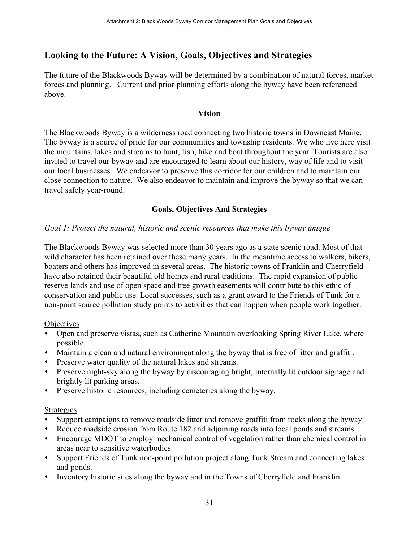# Looking to the Future: A Vision, Goals, Objectives and Strategies

The future of the Blackwoods Byway will be determined by a combination of natural forces, market forces and planning. Current and prior planning efforts along the byway have been referenced above.

#### Vision

The Blackwoods Byway is a wilderness road connecting two historic towns in Downeast Maine. The byway is a source of pride for our communities and township residents. We who live here visit the mountains, lakes and streams to hunt, fish, hike and boat throughout the year. Tourists are also invited to travel our byway and are encouraged to learn about our history, way of life and to visit our local businesses. We endeavor to preserve this corridor for our children and to maintain our close connection to nature. We also endeavor to maintain and improve the byway so that we can travel safely year-round.

# Goals, Objectives And Strategies

#### Goal 1: Protect the natural, historic and scenic resources that make this byway unique

The Blackwoods Byway was selected more than 30 years ago as a state scenic road. Most of that wild character has been retained over these many years. In the meantime access to walkers, bikers, boaters and others has improved in several areas. The historic towns of Franklin and Cherryfield have also retained their beautiful old homes and rural traditions. The rapid expansion of public reserve lands and use of open space and tree growth easements will contribute to this ethic of conservation and public use. Local successes, such as a grant award to the Friends of Tunk for a non-point source pollution study points to activities that can happen when people work together.

#### **Objectives**

- Open and preserve vistas, such as Catherine Mountain overlooking Spring River Lake, where possible.
- Maintain a clean and natural environment along the byway that is free of litter and graffiti.
- Preserve water quality of the natural lakes and streams.
- Preserve night-sky along the byway by discouraging bright, internally lit outdoor signage and brightly lit parking areas.
- Preserve historic resources, including cemeteries along the byway.

#### Strategies

- Support campaigns to remove roadside litter and remove graffiti from rocks along the byway
- Reduce roadside erosion from Route 182 and adjoining roads into local ponds and streams.
- Encourage MDOT to employ mechanical control of vegetation rather than chemical control in areas near to sensitive waterbodies.
- Support Friends of Tunk non-point pollution project along Tunk Stream and connecting lakes and ponds.
- Inventory historic sites along the byway and in the Towns of Cherryfield and Franklin.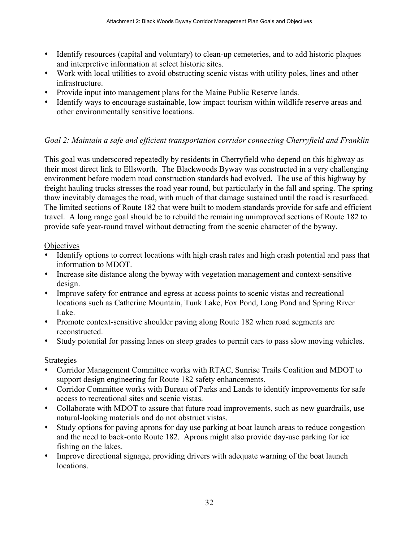- Identify resources (capital and voluntary) to clean-up cemeteries, and to add historic plaques and interpretive information at select historic sites.
- Work with local utilities to avoid obstructing scenic vistas with utility poles, lines and other infrastructure.
- Provide input into management plans for the Maine Public Reserve lands.
- Identify ways to encourage sustainable, low impact tourism within wildlife reserve areas and other environmentally sensitive locations.

# Goal 2: Maintain a safe and efficient transportation corridor connecting Cherryfield and Franklin

This goal was underscored repeatedly by residents in Cherryfield who depend on this highway as their most direct link to Ellsworth. The Blackwoods Byway was constructed in a very challenging environment before modern road construction standards had evolved. The use of this highway by freight hauling trucks stresses the road year round, but particularly in the fall and spring. The spring thaw inevitably damages the road, with much of that damage sustained until the road is resurfaced. The limited sections of Route 182 that were built to modern standards provide for safe and efficient travel. A long range goal should be to rebuild the remaining unimproved sections of Route 182 to provide safe year-round travel without detracting from the scenic character of the byway.

# Objectives

- Identify options to correct locations with high crash rates and high crash potential and pass that information to MDOT.
- Increase site distance along the byway with vegetation management and context-sensitive design.
- Improve safety for entrance and egress at access points to scenic vistas and recreational locations such as Catherine Mountain, Tunk Lake, Fox Pond, Long Pond and Spring River Lake.
- Promote context-sensitive shoulder paving along Route 182 when road segments are reconstructed.
- Study potential for passing lanes on steep grades to permit cars to pass slow moving vehicles.

# Strategies

- Corridor Management Committee works with RTAC, Sunrise Trails Coalition and MDOT to support design engineering for Route 182 safety enhancements.
- Corridor Committee works with Bureau of Parks and Lands to identify improvements for safe access to recreational sites and scenic vistas.
- Collaborate with MDOT to assure that future road improvements, such as new guardrails, use natural-looking materials and do not obstruct vistas.
- Study options for paving aprons for day use parking at boat launch areas to reduce congestion and the need to back-onto Route 182. Aprons might also provide day-use parking for ice fishing on the lakes.
- Improve directional signage, providing drivers with adequate warning of the boat launch locations.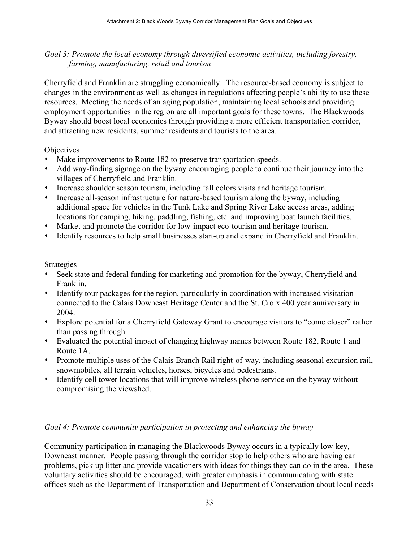#### Goal 3: Promote the local economy through diversified economic activities, including forestry, farming, manufacturing, retail and tourism

Cherryfield and Franklin are struggling economically. The resource-based economy is subject to changes in the environment as well as changes in regulations affecting people's ability to use these resources. Meeting the needs of an aging population, maintaining local schools and providing employment opportunities in the region are all important goals for these towns. The Blackwoods Byway should boost local economies through providing a more efficient transportation corridor, and attracting new residents, summer residents and tourists to the area.

#### **Objectives**

- Make improvements to Route 182 to preserve transportation speeds.
- Add way-finding signage on the byway encouraging people to continue their journey into the villages of Cherryfield and Franklin.
- Increase shoulder season tourism, including fall colors visits and heritage tourism.
- Increase all-season infrastructure for nature-based tourism along the byway, including additional space for vehicles in the Tunk Lake and Spring River Lake access areas, adding locations for camping, hiking, paddling, fishing, etc. and improving boat launch facilities.
- Market and promote the corridor for low-impact eco-tourism and heritage tourism.
- Identify resources to help small businesses start-up and expand in Cherryfield and Franklin.

#### Strategies

- Seek state and federal funding for marketing and promotion for the byway, Cherryfield and Franklin.
- Identify tour packages for the region, particularly in coordination with increased visitation connected to the Calais Downeast Heritage Center and the St. Croix 400 year anniversary in 2004.
- Explore potential for a Cherryfield Gateway Grant to encourage visitors to "come closer" rather than passing through.
- Evaluated the potential impact of changing highway names between Route 182, Route 1 and Route 1A.
- Promote multiple uses of the Calais Branch Rail right-of-way, including seasonal excursion rail, snowmobiles, all terrain vehicles, horses, bicycles and pedestrians.
- Identify cell tower locations that will improve wireless phone service on the byway without compromising the viewshed.

#### Goal 4: Promote community participation in protecting and enhancing the byway

Community participation in managing the Blackwoods Byway occurs in a typically low-key, Downeast manner. People passing through the corridor stop to help others who are having car problems, pick up litter and provide vacationers with ideas for things they can do in the area. These voluntary activities should be encouraged, with greater emphasis in communicating with state offices such as the Department of Transportation and Department of Conservation about local needs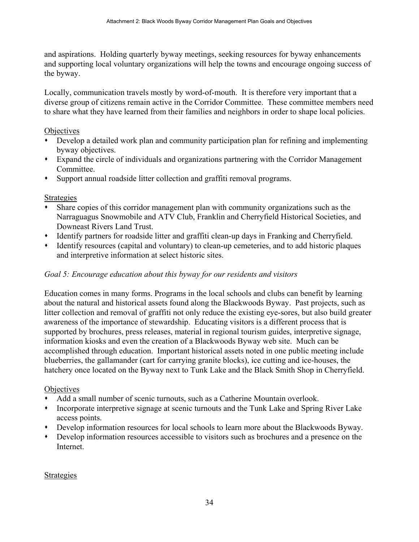and aspirations. Holding quarterly byway meetings, seeking resources for byway enhancements and supporting local voluntary organizations will help the towns and encourage ongoing success of the byway.

Locally, communication travels mostly by word-of-mouth. It is therefore very important that a diverse group of citizens remain active in the Corridor Committee. These committee members need to share what they have learned from their families and neighbors in order to shape local policies.

### Objectives

- Develop a detailed work plan and community participation plan for refining and implementing byway objectives.
- Expand the circle of individuals and organizations partnering with the Corridor Management Committee.
- Support annual roadside litter collection and graffiti removal programs.

### Strategies

- Share copies of this corridor management plan with community organizations such as the Narraguagus Snowmobile and ATV Club, Franklin and Cherryfield Historical Societies, and Downeast Rivers Land Trust.
- Identify partners for roadside litter and graffiti clean-up days in Franking and Cherryfield.
- Identify resources (capital and voluntary) to clean-up cemeteries, and to add historic plaques and interpretive information at select historic sites.

### Goal 5: Encourage education about this byway for our residents and visitors

Education comes in many forms. Programs in the local schools and clubs can benefit by learning about the natural and historical assets found along the Blackwoods Byway. Past projects, such as litter collection and removal of graffiti not only reduce the existing eye-sores, but also build greater awareness of the importance of stewardship. Educating visitors is a different process that is supported by brochures, press releases, material in regional tourism guides, interpretive signage, information kiosks and even the creation of a Blackwoods Byway web site. Much can be accomplished through education. Important historical assets noted in one public meeting include blueberries, the gallamander (cart for carrying granite blocks), ice cutting and ice-houses, the hatchery once located on the Byway next to Tunk Lake and the Black Smith Shop in Cherryfield.

#### **Objectives**

- Add a small number of scenic turnouts, such as a Catherine Mountain overlook.
- Incorporate interpretive signage at scenic turnouts and the Tunk Lake and Spring River Lake access points.
- Develop information resources for local schools to learn more about the Blackwoods Byway.
- Develop information resources accessible to visitors such as brochures and a presence on the Internet.

### Strategies